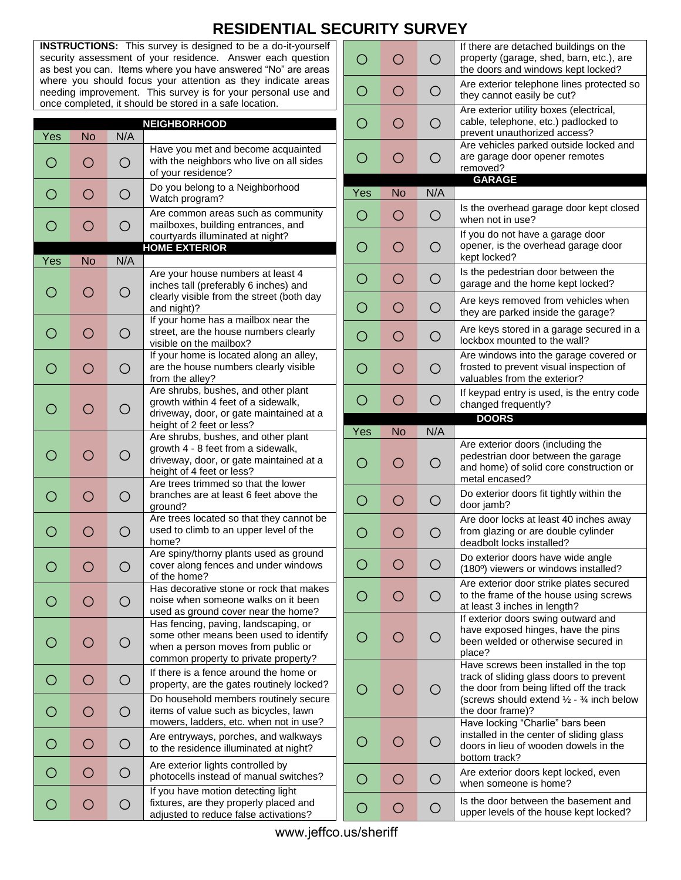## **RESIDENTIAL SECURITY SURVEY**

**INSTRUCTIONS:** This survey is designed to be a do-it-yourself security assessment of your residence. Answer each question as best you can. Items where you have answered "No" are areas where you should focus your attention as they indicate areas needing improvement. This survey is for your personal use and once completed, it should be stored in a safe location.

|                |                                               |            | <b>NEIGHBORHOOD</b>                                                                                                                                          |
|----------------|-----------------------------------------------|------------|--------------------------------------------------------------------------------------------------------------------------------------------------------------|
| Yes            | <b>No</b>                                     | N/A        |                                                                                                                                                              |
| O              | О                                             | О          | Have you met and become acquainted<br>with the neighbors who live on all sides<br>of your residence?                                                         |
| $\bigcirc$     | O                                             | O          | Do you belong to a Neighborhood<br>Watch program?                                                                                                            |
| $\bigcirc$     | Ο                                             | $\bigcirc$ | Are common areas such as community<br>mailboxes, building entrances, and<br>courtyards illuminated at night?<br><b>HOME EXTERIOR</b>                         |
| Yes            | <b>No</b>                                     | N/A        |                                                                                                                                                              |
| ◯              | ◯                                             | O          | Are your house numbers at least 4<br>inches tall (preferably 6 inches) and<br>clearly visible from the street (both day<br>and night)?                       |
| $\bigcirc$     | Ω                                             | O          | If your home has a mailbox near the<br>street, are the house numbers clearly<br>visible on the mailbox?                                                      |
| О              | Ο                                             | О          | If your home is located along an alley,<br>are the house numbers clearly visible<br>from the alley?                                                          |
| ◯              | ◯                                             | O          | Are shrubs, bushes, and other plant<br>growth within 4 feet of a sidewalk,<br>driveway, door, or gate maintained at a<br>height of 2 feet or less?           |
| ∩              | ( )                                           | Ω          | Are shrubs, bushes, and other plant<br>growth 4 - 8 feet from a sidewalk,<br>driveway, door, or gate maintained at a<br>height of 4 feet or less?            |
| O              | ∩                                             | O          | Are trees trimmed so that the lower<br>branches are at least 6 feet above the<br>ground?                                                                     |
| O              | ∩                                             | O          | Are trees located so that they cannot be<br>used to climb to an upper level of the<br>home?                                                                  |
| О              | ( )                                           | Ο          | Are spiny/thorny plants used as ground<br>cover along fences and under windows<br>of the home?                                                               |
| Ο              | O                                             | ∩          | Has decorative stone or rock that makes<br>noise when someone walks on it been<br>used as ground cover near the home?                                        |
|                |                                               | Ο          | Has fencing, paving, landscaping, or<br>some other means been used to identify<br>when a person moves from public or<br>common property to private property? |
| $\bigcirc$     | Ο                                             | $\bigcirc$ | If there is a fence around the home or<br>property, are the gates routinely locked?                                                                          |
| $\overline{O}$ | ◯                                             | O          | Do household members routinely secure<br>items of value such as bicycles, lawn<br>mowers, ladders, etc. when not in use?                                     |
| $\bigcirc$     | $\left(\begin{array}{c} 1 \end{array}\right)$ | $\bigcirc$ | Are entryways, porches, and walkways<br>to the residence illuminated at night?                                                                               |
| О              | $\left(\begin{array}{c} 1 \end{array}\right)$ | О          | Are exterior lights controlled by<br>photocells instead of manual switches?                                                                                  |
| Ō              | $\bigcirc$                                    | О          | If you have motion detecting light<br>fixtures, are they properly placed and<br>adjusted to reduce false activations?                                        |

| ◯   | Ο                                               | O                                             | If there are detached buildings on the<br>property (garage, shed, barn, etc.), are<br>the doors and windows kept locked?                                                                       |
|-----|-------------------------------------------------|-----------------------------------------------|------------------------------------------------------------------------------------------------------------------------------------------------------------------------------------------------|
| O   | О                                               | О                                             | Are exterior telephone lines protected so<br>they cannot easily be cut?                                                                                                                        |
| Ω   | Ο                                               | O                                             | Are exterior utility boxes (electrical,<br>cable, telephone, etc.) padlocked to<br>prevent unauthorized access?                                                                                |
| O   | О                                               | O                                             | Are vehicles parked outside locked and<br>are garage door opener remotes<br>removed?                                                                                                           |
| Yes | <b>No</b>                                       | N/A                                           | <b>GARAGE</b>                                                                                                                                                                                  |
| O   | О                                               | О                                             | Is the overhead garage door kept closed<br>when not in use?                                                                                                                                    |
| O   | О                                               | O                                             | If you do not have a garage door<br>opener, is the overhead garage door<br>kept locked?                                                                                                        |
| O   | О                                               | O                                             | Is the pedestrian door between the<br>garage and the home kept locked?                                                                                                                         |
| О   | О                                               | О                                             | Are keys removed from vehicles when<br>they are parked inside the garage?                                                                                                                      |
| Ο   | О                                               | O                                             | Are keys stored in a garage secured in a<br>lockbox mounted to the wall?                                                                                                                       |
| ( ) | Ο                                               | Ο                                             | Are windows into the garage covered or<br>frosted to prevent visual inspection of<br>valuables from the exterior?                                                                              |
| О   | ∩                                               | O                                             | If keypad entry is used, is the entry code<br>changed frequently?                                                                                                                              |
|     |                                                 |                                               | <b>DOORS</b>                                                                                                                                                                                   |
|     |                                                 |                                               |                                                                                                                                                                                                |
| Yes | <b>No</b><br>( )                                | N/A<br>∩                                      | Are exterior doors (including the<br>pedestrian door between the garage<br>and home) of solid core construction or<br>metal encased?                                                           |
| O   | ∩                                               | Ω                                             | Do exterior doors fit tightly within the<br>door jamb?                                                                                                                                         |
| О   | O                                               | О                                             | Are door locks at least 40 inches away<br>from glazing or are double cylinder<br>deadbolt locks installed?                                                                                     |
| О   | $\left( \begin{array}{c} 1 \end{array} \right)$ | О                                             | Do exterior doors have wide angle<br>(180°) viewers or windows installed?                                                                                                                      |
|     | ( )                                             | $\left(\begin{array}{c} 1 \end{array}\right)$ | Are exterior door strike plates secured<br>to the frame of the house using screws<br>at least 3 inches in length?                                                                              |
|     | ( )                                             | $\left(\begin{array}{c} \end{array}\right)$   | If exterior doors swing outward and<br>have exposed hinges, have the pins<br>been welded or otherwise secured in<br>place?                                                                     |
|     |                                                 | $\left(\begin{array}{c} \end{array}\right)$   | Have screws been installed in the top<br>track of sliding glass doors to prevent<br>the door from being lifted off the track<br>(screws should extend 1/2 - 3/4 inch below<br>the door frame)? |
|     |                                                 | ∩                                             | Have locking "Charlie" bars been<br>installed in the center of sliding glass<br>doors in lieu of wooden dowels in the<br>bottom track?                                                         |
| O   | $\left( \begin{array}{c} 1 \end{array} \right)$ | Ω                                             | Are exterior doors kept locked, even<br>when someone is home?                                                                                                                                  |

www.jeffco.us/sheriff